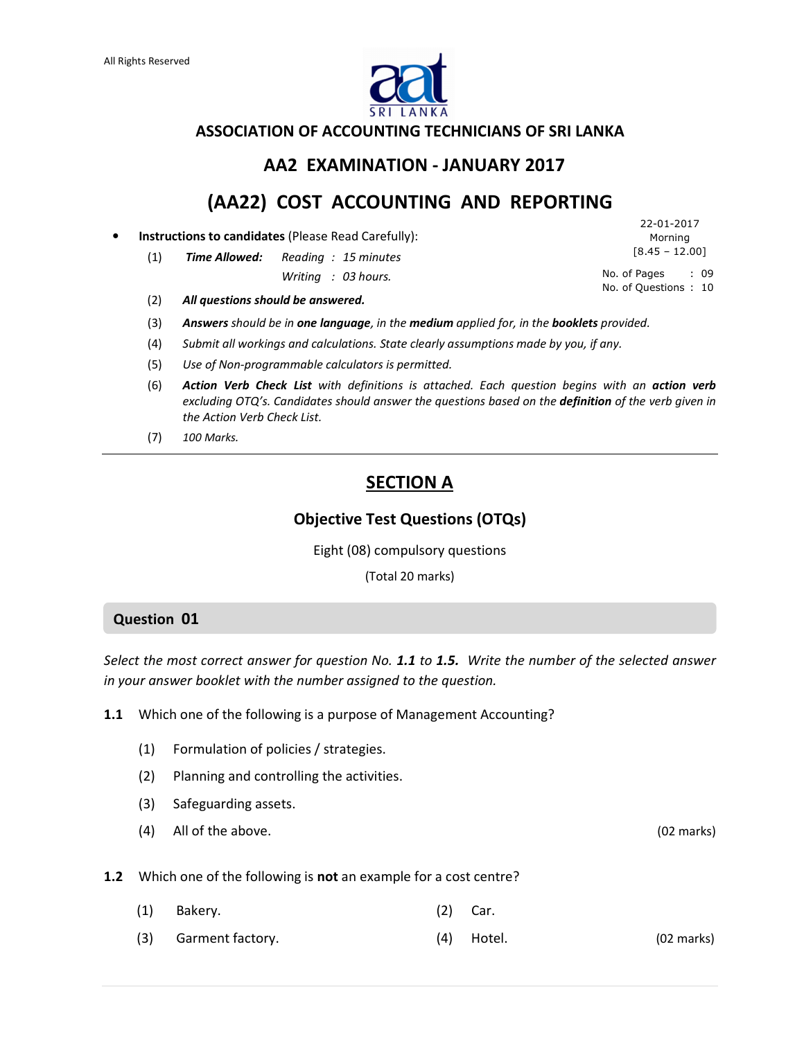

### ASSOCIATION OF ACCOUNTING TECHNICIANS OF SRI LANKA

## AA2 EXAMINATION - JANUARY 2017

## (AA22) COST ACCOUNTING AND REPORTING

• Instructions to candidates (Please Read Carefully):

(1) Time Allowed: Reading : 15 minutes

Writing : 03 hours.

(2) All questions should be answered.

- (3) Answers should be in one language, in the medium applied for, in the booklets provided.
- (4) Submit all workings and calculations. State clearly assumptions made by you, if any.
- (5) Use of Non-programmable calculators is permitted.
- (6) Action Verb Check List with definitions is attached. Each question begins with an action verb excluding OTQ's. Candidates should answer the questions based on the **definition** of the verb given in the Action Verb Check List.
- (7) 100 Marks.

## SECTION A

## Objective Test Questions (OTQs)

Eight (08) compulsory questions

(Total 20 marks)

#### Question 01

Select the most correct answer for question No. 1.1 to 1.5. Write the number of the selected answer in your answer booklet with the number assigned to the question.

1.1 Which one of the following is a purpose of Management Accounting?

- (1) Formulation of policies / strategies.
- (2) Planning and controlling the activities.
- (3) Safeguarding assets.
- (4) All of the above. (02 marks)

**1.2** Which one of the following is **not** an example for a cost centre?

- (1) Bakery. (2) Car.
- (3) Garment factory. (4) Hotel. (02 marks)

22-01-2017 Morning  $[8.45 - 12.00]$ 

No. of Pages : 09 No. of Questions : 10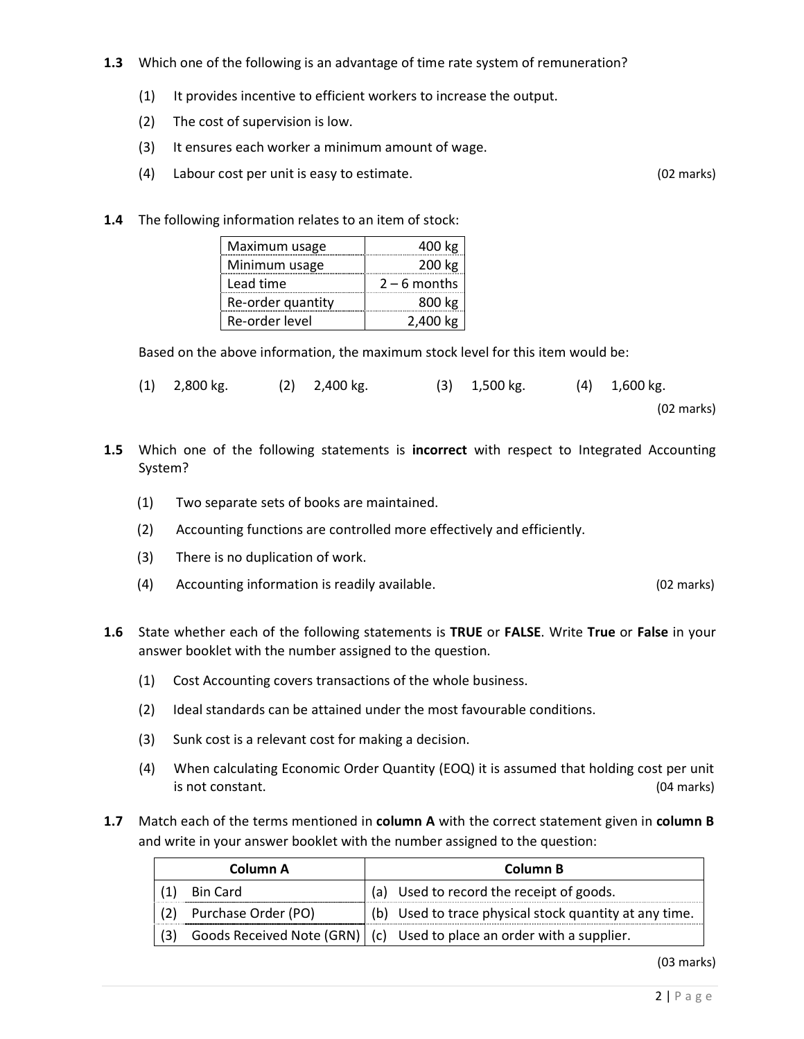- 1.3 Which one of the following is an advantage of time rate system of remuneration?
	- (1) It provides incentive to efficient workers to increase the output.
	- (2) The cost of supervision is low.
	- (3) It ensures each worker a minimum amount of wage.
	- (4) Labour cost per unit is easy to estimate. (02 marks)
- 1.4 The following information relates to an item of stock:

| Maximum usage     | 400 kg         |
|-------------------|----------------|
| Minimum usage     | 200 kg         |
| Lead time         | $2 - 6$ months |
| Re-order quantity | 800 kg         |
| Re-order level    | 2.400 kg       |

Based on the above information, the maximum stock level for this item would be:

- (1) 2,800 kg. (2) 2,400 kg. (3) 1,500 kg. (4) 1,600 kg. (02 marks)
- **1.5** Which one of the following statements is **incorrect** with respect to Integrated Accounting System?
	- (1) Two separate sets of books are maintained.
	- (2) Accounting functions are controlled more effectively and efficiently.
	- (3) There is no duplication of work.
	- (4) Accounting information is readily available. (02 marks)
- **1.6** State whether each of the following statements is TRUE or FALSE. Write True or False in your answer booklet with the number assigned to the question.
	- (1) Cost Accounting covers transactions of the whole business.
	- (2) Ideal standards can be attained under the most favourable conditions.
	- (3) Sunk cost is a relevant cost for making a decision.
	- (4) When calculating Economic Order Quantity (EOQ) it is assumed that holding cost per unit is not constant. (04 marks)
- 1.7 Match each of the terms mentioned in column A with the correct statement given in column B and write in your answer booklet with the number assigned to the question:

|     | Column A            | Column B                                                                |
|-----|---------------------|-------------------------------------------------------------------------|
|     | Bin Card            | (a) Used to record the receipt of goods.                                |
|     | Purchase Order (PO) | $\vert$ (b) Used to trace physical stock quantity at any time.          |
| (3) |                     | Goods Received Note (GRN)   (c) Used to place an order with a supplier. |

(03 marks)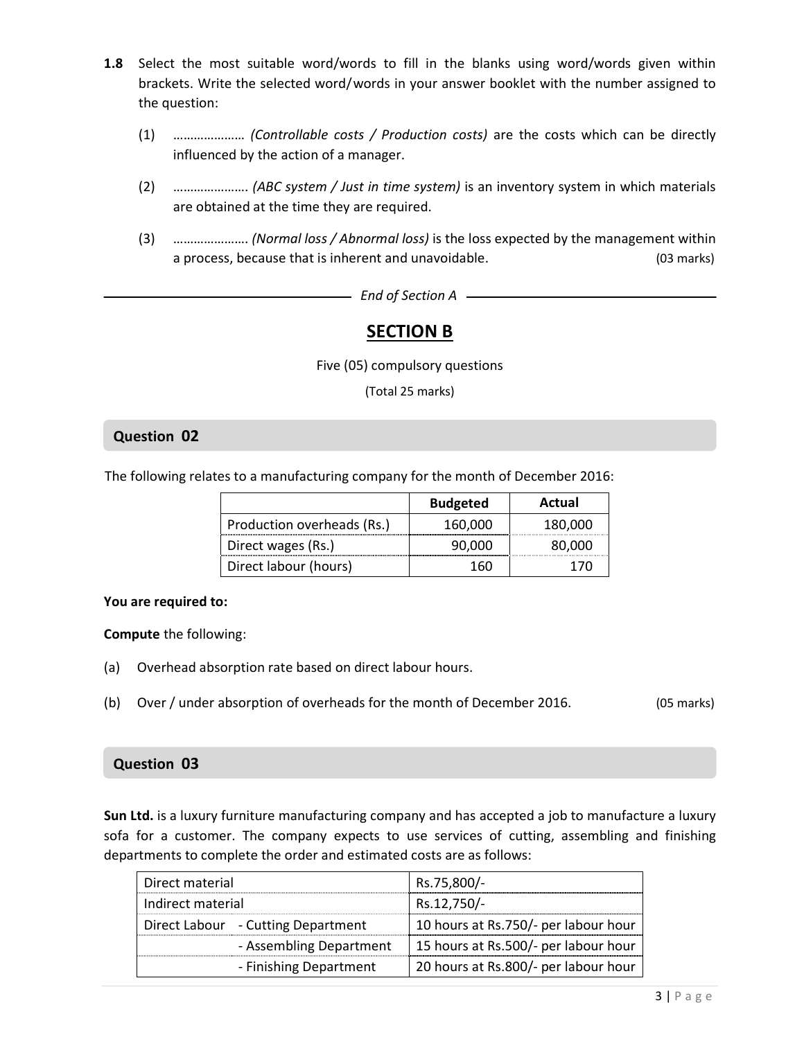- 1.8 Select the most suitable word/words to fill in the blanks using word/words given within brackets. Write the selected word/words in your answer booklet with the number assigned to the question:
	- (1) ………………… (Controllable costs / Production costs) are the costs which can be directly influenced by the action of a manager.
	- (2) …………………. (ABC system / Just in time system) is an inventory system in which materials are obtained at the time they are required.
	- (3) …………………. (Normal loss / Abnormal loss) is the loss expected by the management within a process, because that is inherent and unavoidable. (03 marks)

 $-$  End of Section A  $-$ 

## SECTION B

Five (05) compulsory questions

(Total 25 marks)

### Question 02

The following relates to a manufacturing company for the month of December 2016:

|                            | <b>Budgeted</b> | Actual  |
|----------------------------|-----------------|---------|
| Production overheads (Rs.) | 160.000         | 180.000 |
| Direct wages (Rs.)         | 90,000          | 80,000  |
| Direct labour (hours)      | ы               |         |

#### You are required to:

Compute the following:

- (a) Overhead absorption rate based on direct labour hours.
- (b) Over / under absorption of overheads for the month of December 2016. (05 marks)

#### Question 03

Sun Ltd. is a luxury furniture manufacturing company and has accepted a job to manufacture a luxury sofa for a customer. The company expects to use services of cutting, assembling and finishing departments to complete the order and estimated costs are as follows:

| Direct material                    | Rs.75,800/-                          |
|------------------------------------|--------------------------------------|
| Indirect material                  | Rs.12,750/-                          |
| Direct Labour - Cutting Department | 10 hours at Rs.750/- per labour hour |
| - Assembling Department            | 15 hours at Rs.500/- per labour hour |
| - Finishing Department             | 20 hours at Rs.800/- per labour hour |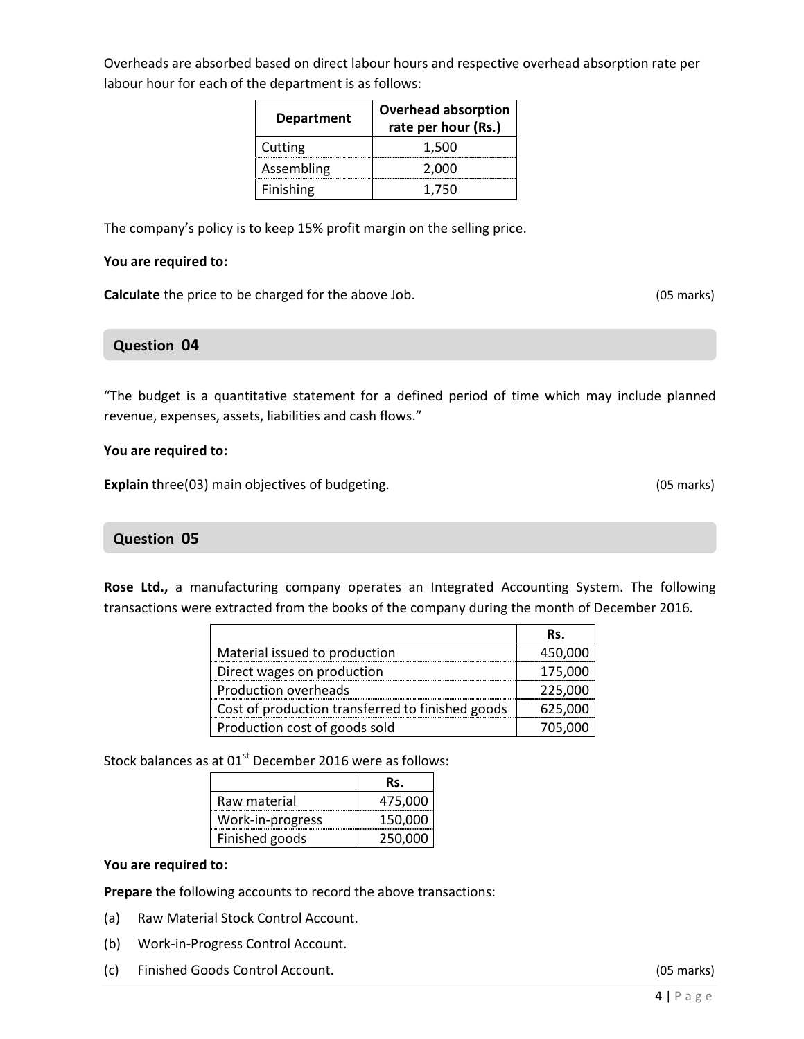Overheads are absorbed based on direct labour hours and respective overhead absorption rate per labour hour for each of the department is as follows:

| <b>Department</b> | <b>Overhead absorption</b><br>rate per hour (Rs.) |
|-------------------|---------------------------------------------------|
| Cutting           | 1,500                                             |
| Assembling        | 2,000                                             |
| Finishing         | 1.750                                             |

The company's policy is to keep 15% profit margin on the selling price.

#### You are required to:

Calculate the price to be charged for the above Job. (05 marks)

## Question 04

"The budget is a quantitative statement for a defined period of time which may include planned revenue, expenses, assets, liabilities and cash flows."

#### You are required to:

Explain three(03) main objectives of budgeting. (05 marks)

#### Question 05

Rose Ltd., a manufacturing company operates an Integrated Accounting System. The following transactions were extracted from the books of the company during the month of December 2016.

|                                                  | Rs.     |
|--------------------------------------------------|---------|
| Material issued to production                    | 450,000 |
| Direct wages on production                       | 175,000 |
| Production overheads                             | 225,000 |
| Cost of production transferred to finished goods | 625,000 |
| Production cost of goods sold                    | 705.000 |

Stock balances as at  $01<sup>st</sup>$  December 2016 were as follows:

|                  | Rs.     |
|------------------|---------|
| Raw material     | 475,000 |
| Work-in-progress | 150,000 |
| Finished goods   | 250.000 |

#### You are required to:

Prepare the following accounts to record the above transactions:

- (a) Raw Material Stock Control Account.
- (b) Work-in-Progress Control Account.
- (c) Finished Goods Control Account. (05 marks)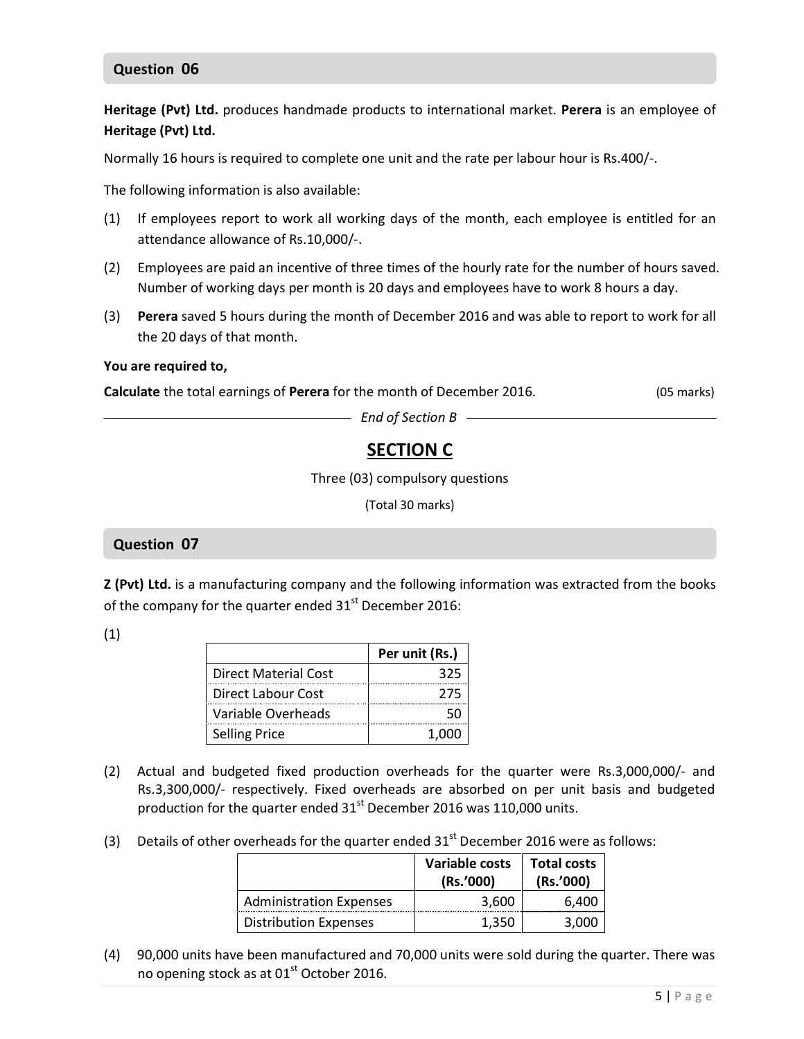## Question 06

Heritage (Pvt) Ltd. produces handmade products to international market. Perera is an employee of Heritage (Pvt) Ltd.

Normally 16 hours is required to complete one unit and the rate per labour hour is Rs.400/-.

The following information is also available:

- (1) If employees report to work all working days of the month, each employee is entitled for an attendance allowance of Rs.10,000/-.
- (2) Employees are paid an incentive of three times of the hourly rate for the number of hours saved. Number of working days per month is 20 days and employees have to work 8 hours a day.
- (3) Perera saved 5 hours during the month of December 2016 and was able to report to work for all the 20 days of that month.

#### You are required to,

Calculate the total earnings of Perera for the month of December 2016. (05 marks)

 $-$  End of Section B  $-$ 

## SECTION C

Three (03) compulsory questions

(Total 30 marks)

#### Question 07

Z (Pvt) Ltd. is a manufacturing company and the following information was extracted from the books of the company for the quarter ended  $31<sup>st</sup>$  December 2016:

(1)

|                             | Per unit (Rs.) |
|-----------------------------|----------------|
| <b>Direct Material Cost</b> | マフ             |
| Direct Labour Cost          | 275            |
| Variable Overheads          |                |
| <b>Selling Price</b>        |                |

- (2) Actual and budgeted fixed production overheads for the quarter were Rs.3,000,000/- and Rs.3,300,000/- respectively. Fixed overheads are absorbed on per unit basis and budgeted production for the quarter ended  $31<sup>st</sup>$  December 2016 was 110,000 units.
- (3) Details of other overheads for the quarter ended  $31<sup>st</sup>$  December 2016 were as follows:

|                                | Variable costs<br>(Rs.'000) | <b>Total costs</b><br>(Rs.'000) |
|--------------------------------|-----------------------------|---------------------------------|
| <b>Administration Expenses</b> | 3.600                       | 6.400                           |
| <b>Distribution Expenses</b>   | 1.350                       |                                 |

(4) 90,000 units have been manufactured and 70,000 units were sold during the quarter. There was no opening stock as at 01<sup>st</sup> October 2016.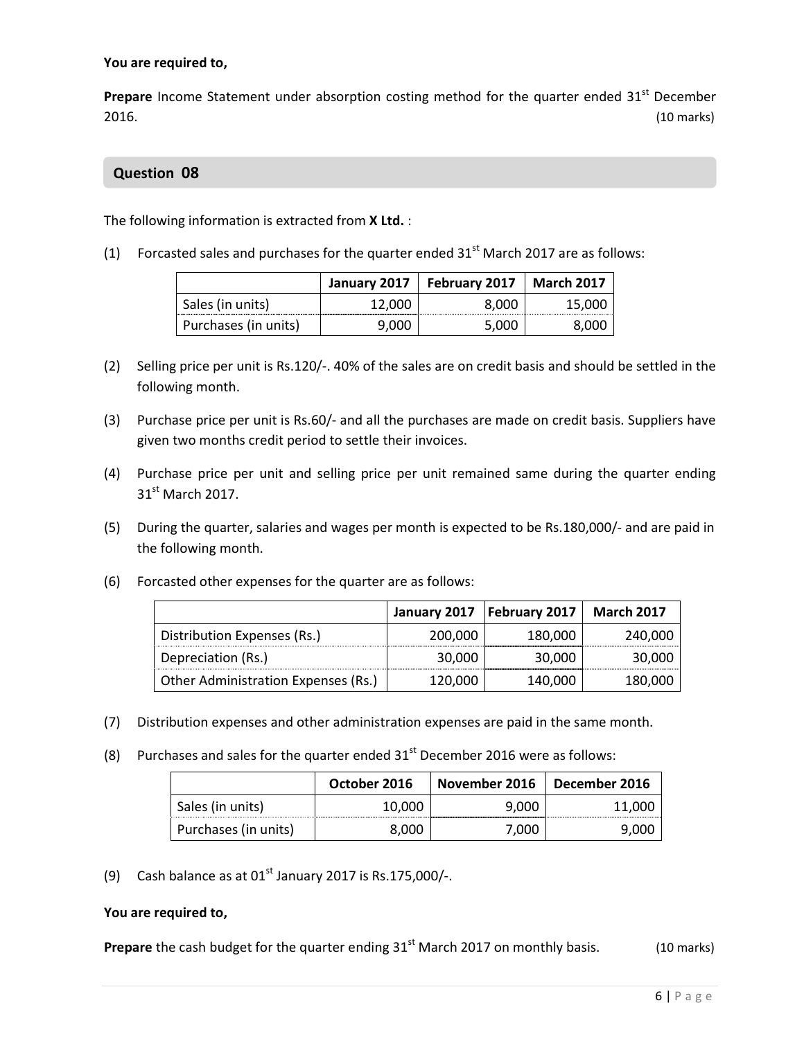#### You are required to,

Prepare Income Statement under absorption costing method for the quarter ended  $31<sup>st</sup>$  December 2016. (10 marks)

## Question 08

The following information is extracted from **X Ltd.**:

(1) Forcasted sales and purchases for the quarter ended  $31<sup>st</sup>$  March 2017 are as follows:

|                      | January 2017 | <b>February 2017</b> | <b>March 2017</b> |
|----------------------|--------------|----------------------|-------------------|
| Sales (in units)     | 12,000       | 8.000                | 15,000            |
| Purchases (in units) |              | 5.00C                |                   |

- (2) Selling price per unit is Rs.120/-. 40% of the sales are on credit basis and should be settled in the following month.
- (3) Purchase price per unit is Rs.60/- and all the purchases are made on credit basis. Suppliers have given two months credit period to settle their invoices.
- (4) Purchase price per unit and selling price per unit remained same during the quarter ending 31<sup>st</sup> March 2017.
- (5) During the quarter, salaries and wages per month is expected to be Rs.180,000/- and are paid in the following month.
- (6) Forcasted other expenses for the quarter are as follows:

|                                     | January 2017 | <b>February 2017</b> | <b>March 2017</b> |
|-------------------------------------|--------------|----------------------|-------------------|
| Distribution Expenses (Rs.)         | 200,000      | 180.000              | 240.000           |
| Depreciation (Rs.)                  | 30,000       | 30,000               | 30,000            |
| Other Administration Expenses (Rs.) | 120,000      | 140,000              | 180,000           |

- (7) Distribution expenses and other administration expenses are paid in the same month.
- (8) Purchases and sales for the quarter ended  $31<sup>st</sup>$  December 2016 were as follows:

|                      | October 2016 | November 2016 | December 2016 |
|----------------------|--------------|---------------|---------------|
| Sales (in units)     | 10.000       | 9.000         | 11,000        |
| Purchases (in units) | 8.000        | 7.000         | 9,000         |

(9) Cash balance as at  $01<sup>st</sup>$  January 2017 is Rs.175,000/-.

#### You are required to,

**Prepare** the cash budget for the quarter ending  $31<sup>st</sup>$  March 2017 on monthly basis. (10 marks)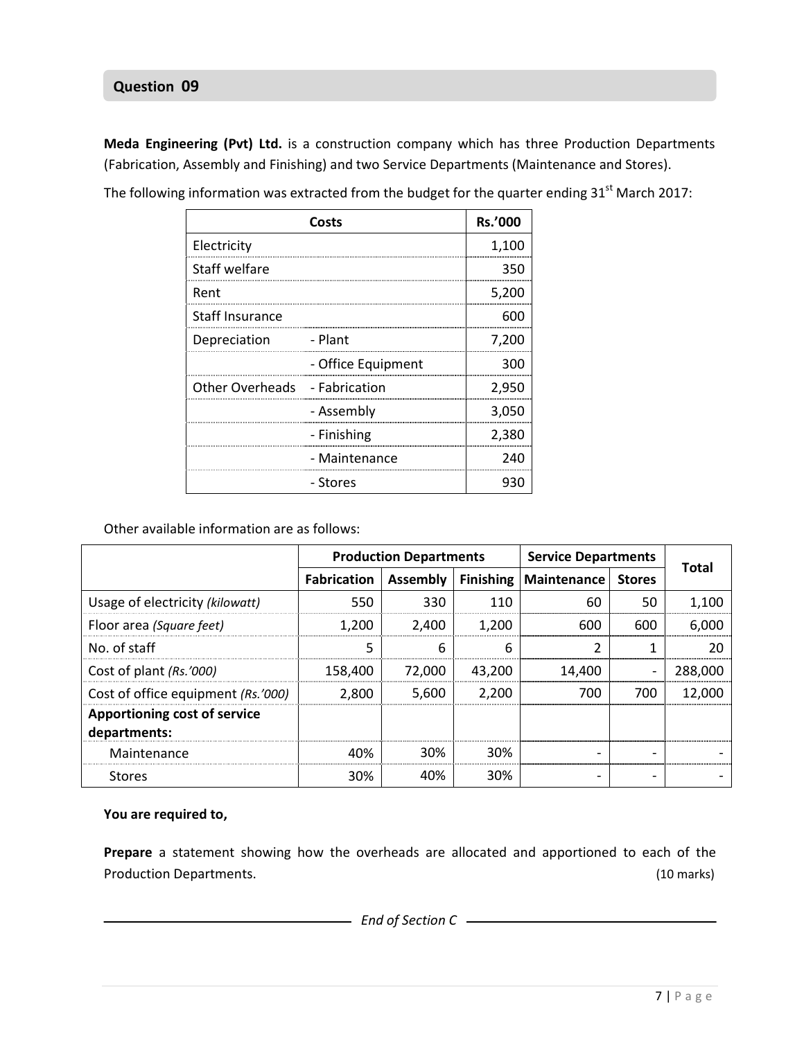### l Question 09

Meda Engineering (Pvt) Ltd. is a construction company which has three Production Departments (Fabrication, Assembly and Finishing) and two Service Departments (Maintenance and Stores).

|                               | <b>Rs.'000</b>     |        |
|-------------------------------|--------------------|--------|
| Electricity                   |                    | 1,100  |
| Staff welfare                 |                    | 350    |
| Rent                          |                    | 5,200  |
| <b>Staff Insurance</b>        |                    | 600    |
| Depreciation                  | - Plant            | 7,200  |
|                               | - Office Equipment | ิ วิทท |
| Other Overheads - Fabrication |                    | 2,950  |
|                               | - Assembly         | 3,050  |
|                               | - Finishing        | 2.380  |
|                               | - Maintenance      | 240    |
|                               | - Stores           |        |

The following information was extracted from the budget for the quarter ending  $31<sup>st</sup>$  March 2017:

Other available information are as follows:

|                                              | <b>Production Departments</b> |          |                  | <b>Service Departments</b> |               |              |
|----------------------------------------------|-------------------------------|----------|------------------|----------------------------|---------------|--------------|
|                                              | <b>Fabrication</b>            | Assembly | <b>Finishing</b> | Maintenance                | <b>Stores</b> | <b>Total</b> |
| Usage of electricity (kilowatt)              | 550                           | 330      | 110              | 60                         | 50            | 1,100        |
| Floor area (Square feet)                     | 1.200                         | 2.400    | 1.200            | 600                        | 600           | 6,000        |
| No. of staff                                 |                               | 6        | 6                | ำ                          |               | 20           |
| Cost of plant (Rs.'000)                      | 158,400                       | 72.000   | 43,200           | 14,400                     |               | 288,000      |
| Cost of office equipment (Rs.'000)           | 2.800                         | 5,600    | 2,200            | 700                        | 700           | 12,000       |
| Apportioning cost of service<br>departments: |                               |          |                  |                            |               |              |
| Maintenance                                  | 40%                           | 30%      | 30%              |                            |               |              |
| <b>Stores</b>                                | 30%                           | 40%      | 30%              |                            |               |              |

### You are required to,

Prepare a statement showing how the overheads are allocated and apportioned to each of the Production Departments. (10 marks)

- End of Section C - The Contract of Section C - The Contract of Section C - The Contract of Section C - The Contract of Section C - The Contract of Section C - The Contract of Section C - The Contract of Section C - The C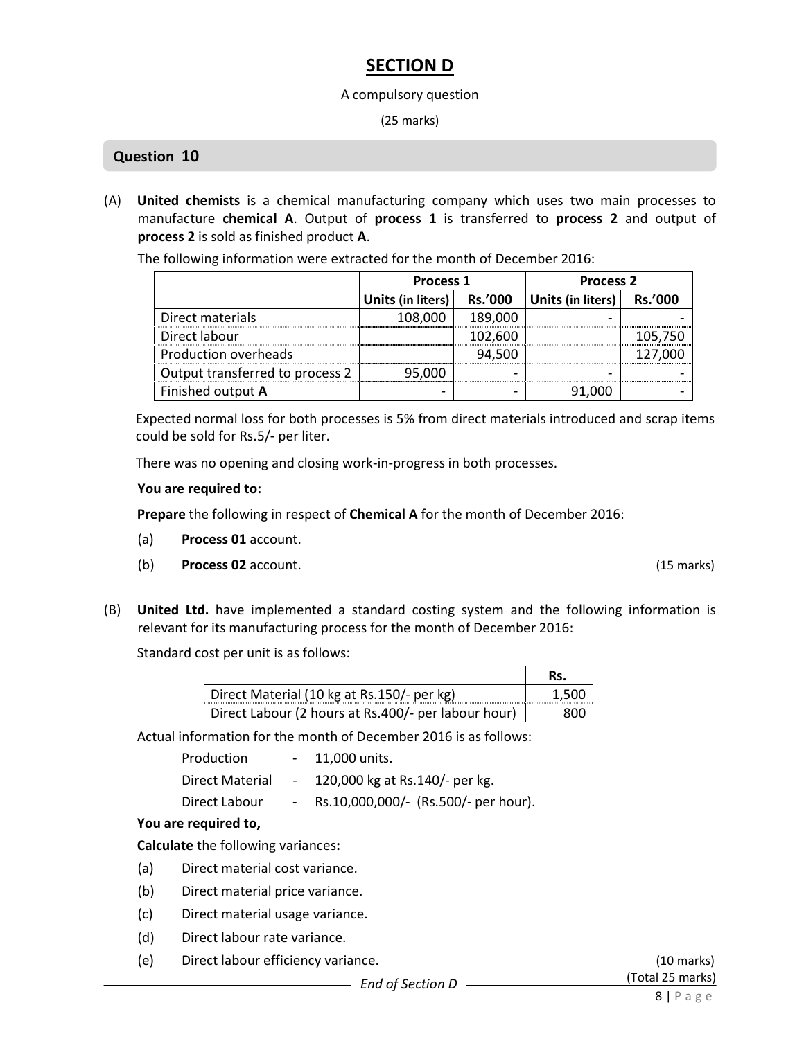## SECTION D

#### A compulsory question

(25 marks)

## Question 10

(A) United chemists is a chemical manufacturing company which uses two main processes to manufacture chemical A. Output of process 1 is transferred to process 2 and output of process 2 is sold as finished product A.

The following information were extracted for the month of December 2016:

|                                 | <b>Process 1</b>  |                | <b>Process 2</b>  |                |
|---------------------------------|-------------------|----------------|-------------------|----------------|
|                                 | Units (in liters) | <b>Rs.'000</b> | Units (in liters) | <b>Rs.'000</b> |
| Direct materials                | 108,000           | 189,000        |                   |                |
| Direct labour                   |                   | 102,600        |                   | 105,750        |
| Production overheads            |                   | 94,500         |                   | 127,000        |
| Output transferred to process 2 | 95,000            |                |                   |                |
| Finished output A               |                   |                | 91.000            |                |

Expected normal loss for both processes is 5% from direct materials introduced and scrap items could be sold for Rs.5/- per liter.

There was no opening and closing work-in-progress in both processes.

### You are required to:

Prepare the following in respect of Chemical A for the month of December 2016:

- (a) Process 01 account.
- (b) Process 02 account. (15 marks)
- (B) United Ltd. have implemented a standard costing system and the following information is relevant for its manufacturing process for the month of December 2016:

Standard cost per unit is as follows:

| Direct Material (10 kg at Rs.150/- per kg)          |  |
|-----------------------------------------------------|--|
| Direct Labour (2 hours at Rs.400/- per labour hour) |  |

Actual information for the month of December 2016 is as follows:

| Production |  | 11,000 units. |
|------------|--|---------------|
|------------|--|---------------|

Direct Material - 120,000 kg at Rs.140/- per kg.

Direct Labour - Rs.10,000,000/- (Rs.500/- per hour).

## You are required to,

Calculate the following variances:

- (a) Direct material cost variance.
- (b) Direct material price variance.
- (c) Direct material usage variance.
- (d) Direct labour rate variance.
- (e) Direct labour efficiency variance. (10 marks)

(Total 25 marks)